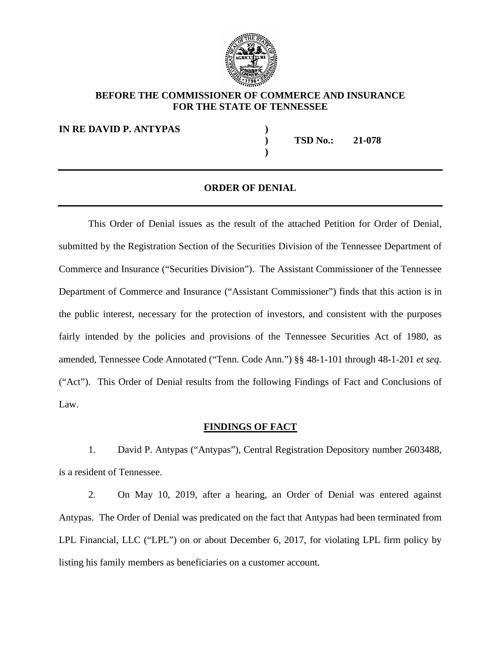

### **BEFORE THE COMMISSIONER OF COMMERCE AND INSURANCE FOR THE STATE OF TENNESSEE**

**IN RE DAVID P. ANTYPAS )**

**) TSD No.: 21-078**

### **ORDER OF DENIAL**

**)**

This Order of Denial issues as the result of the attached Petition for Order of Denial, submitted by the Registration Section of the Securities Division of the Tennessee Department of Commerce and Insurance ("Securities Division"). The Assistant Commissioner of the Tennessee Department of Commerce and Insurance ("Assistant Commissioner") finds that this action is in the public interest, necessary for the protection of investors, and consistent with the purposes fairly intended by the policies and provisions of the Tennessee Securities Act of 1980, as amended, Tennessee Code Annotated ("Tenn. Code Ann.") §§ 48-1-101 through 48-1-201 *et seq.* ("Act"). This Order of Denial results from the following Findings of Fact and Conclusions of Law.

### **FINDINGS OF FACT**

1. David P. Antypas ("Antypas"), Central Registration Depository number 2603488, is a resident of Tennessee.

2. On May 10, 2019, after a hearing, an Order of Denial was entered against Antypas. The Order of Denial was predicated on the fact that Antypas had been terminated from LPL Financial, LLC ("LPL") on or about December 6, 2017, for violating LPL firm policy by listing his family members as beneficiaries on a customer account.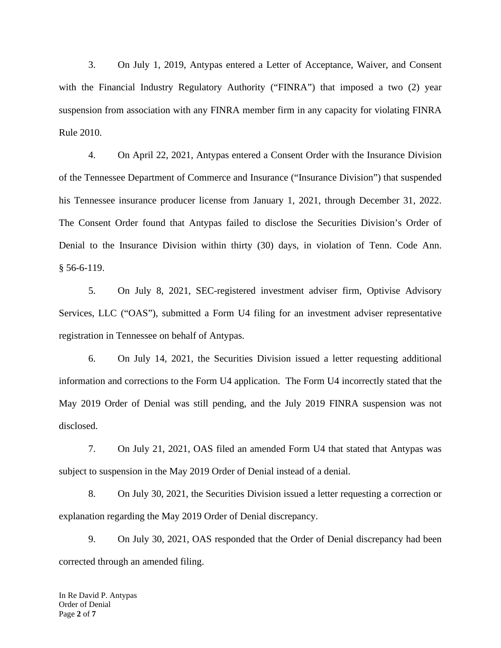3. On July 1, 2019, Antypas entered a Letter of Acceptance, Waiver, and Consent with the Financial Industry Regulatory Authority ("FINRA") that imposed a two (2) year suspension from association with any FINRA member firm in any capacity for violating FINRA Rule 2010.

4. On April 22, 2021, Antypas entered a Consent Order with the Insurance Division of the Tennessee Department of Commerce and Insurance ("Insurance Division") that suspended his Tennessee insurance producer license from January 1, 2021, through December 31, 2022. The Consent Order found that Antypas failed to disclose the Securities Division's Order of Denial to the Insurance Division within thirty (30) days, in violation of Tenn. Code Ann. § 56-6-119.

5. On July 8, 2021, SEC-registered investment adviser firm, Optivise Advisory Services, LLC ("OAS"), submitted a Form U4 filing for an investment adviser representative registration in Tennessee on behalf of Antypas.

6. On July 14, 2021, the Securities Division issued a letter requesting additional information and corrections to the Form U4 application. The Form U4 incorrectly stated that the May 2019 Order of Denial was still pending, and the July 2019 FINRA suspension was not disclosed.

7. On July 21, 2021, OAS filed an amended Form U4 that stated that Antypas was subject to suspension in the May 2019 Order of Denial instead of a denial.

8. On July 30, 2021, the Securities Division issued a letter requesting a correction or explanation regarding the May 2019 Order of Denial discrepancy.

9. On July 30, 2021, OAS responded that the Order of Denial discrepancy had been corrected through an amended filing.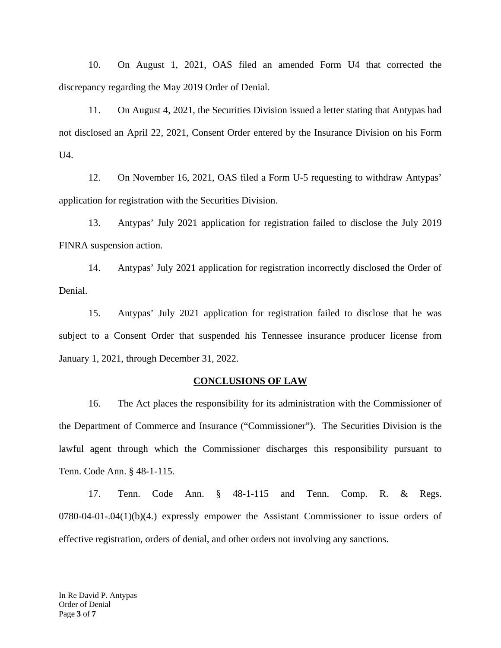10. On August 1, 2021, OAS filed an amended Form U4 that corrected the discrepancy regarding the May 2019 Order of Denial.

11. On August 4, 2021, the Securities Division issued a letter stating that Antypas had not disclosed an April 22, 2021, Consent Order entered by the Insurance Division on his Form  $U4.$ 

12. On November 16, 2021, OAS filed a Form U-5 requesting to withdraw Antypas' application for registration with the Securities Division.

13. Antypas' July 2021 application for registration failed to disclose the July 2019 FINRA suspension action.

14. Antypas' July 2021 application for registration incorrectly disclosed the Order of Denial.

15. Antypas' July 2021 application for registration failed to disclose that he was subject to a Consent Order that suspended his Tennessee insurance producer license from January 1, 2021, through December 31, 2022.

#### **CONCLUSIONS OF LAW**

16. The Act places the responsibility for its administration with the Commissioner of the Department of Commerce and Insurance ("Commissioner"). The Securities Division is the lawful agent through which the Commissioner discharges this responsibility pursuant to Tenn. Code Ann. § 48-1-115.

17. Tenn. Code Ann. § 48-1-115 and Tenn. Comp. R. & Regs. 0780-04-01-.04(1)(b)(4.) expressly empower the Assistant Commissioner to issue orders of effective registration, orders of denial, and other orders not involving any sanctions.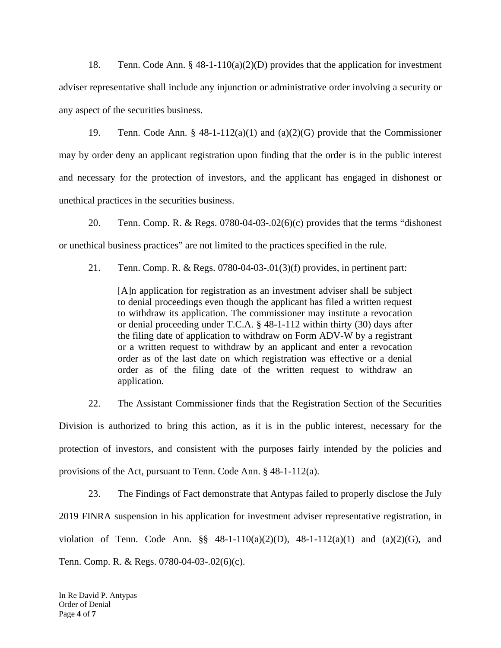18. Tenn. Code Ann. § 48-1-110(a)(2)(D) provides that the application for investment adviser representative shall include any injunction or administrative order involving a security or any aspect of the securities business.

19. Tenn. Code Ann. § 48-1-112(a)(1) and (a)(2)(G) provide that the Commissioner may by order deny an applicant registration upon finding that the order is in the public interest and necessary for the protection of investors, and the applicant has engaged in dishonest or unethical practices in the securities business.

20. Tenn. Comp. R. & Regs. 0780-04-03-.02(6)(c) provides that the terms "dishonest or unethical business practices" are not limited to the practices specified in the rule.

21. Tenn. Comp. R. & Regs. 0780-04-03-.01(3)(f) provides, in pertinent part:

[A]n application for registration as an investment adviser shall be subject to denial proceedings even though the applicant has filed a written request to withdraw its application. The commissioner may institute a revocation or denial proceeding under T.C.A. § 48-1-112 within thirty (30) days after the filing date of application to withdraw on Form ADV-W by a registrant or a written request to withdraw by an applicant and enter a revocation order as of the last date on which registration was effective or a denial order as of the filing date of the written request to withdraw an application.

22. The Assistant Commissioner finds that the Registration Section of the Securities Division is authorized to bring this action, as it is in the public interest, necessary for the protection of investors, and consistent with the purposes fairly intended by the policies and provisions of the Act, pursuant to Tenn. Code Ann. § 48-1-112(a).

23. The Findings of Fact demonstrate that Antypas failed to properly disclose the July 2019 FINRA suspension in his application for investment adviser representative registration, in violation of Tenn. Code Ann. §§ 48-1-110(a)(2)(D), 48-1-112(a)(1) and (a)(2)(G), and Tenn. Comp. R. & Regs. 0780-04-03-.02(6)(c).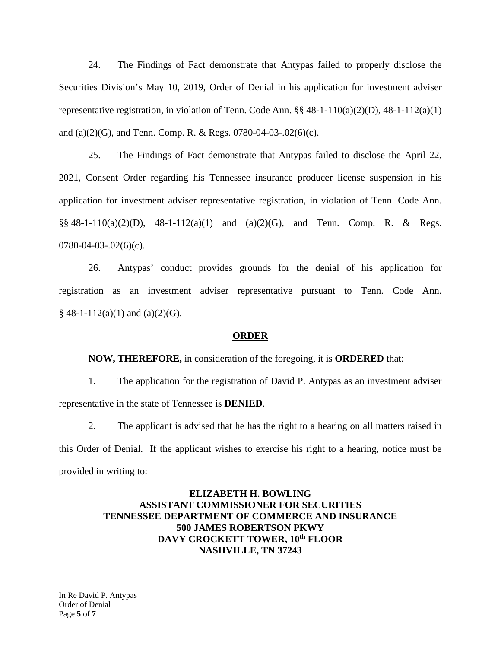24. The Findings of Fact demonstrate that Antypas failed to properly disclose the Securities Division's May 10, 2019, Order of Denial in his application for investment adviser representative registration, in violation of Tenn. Code Ann. §§ 48-1-110(a)(2)(D), 48-1-112(a)(1) and (a)(2)(G), and Tenn. Comp. R. & Regs. 0780-04-03-.02(6)(c).

25. The Findings of Fact demonstrate that Antypas failed to disclose the April 22, 2021, Consent Order regarding his Tennessee insurance producer license suspension in his application for investment adviser representative registration, in violation of Tenn. Code Ann.  $\S$ § 48-1-110(a)(2)(D), 48-1-112(a)(1) and (a)(2)(G), and Tenn. Comp. R. & Regs.  $0780 - 04 - 03 - 02(6)(c)$ .

26. Antypas' conduct provides grounds for the denial of his application for registration as an investment adviser representative pursuant to Tenn. Code Ann.  $§$  48-1-112(a)(1) and (a)(2)(G).

#### **ORDER**

**NOW, THEREFORE,** in consideration of the foregoing, it is **ORDERED** that:

1. The application for the registration of David P. Antypas as an investment adviser representative in the state of Tennessee is **DENIED**.

2. The applicant is advised that he has the right to a hearing on all matters raised in this Order of Denial. If the applicant wishes to exercise his right to a hearing, notice must be provided in writing to:

## **ELIZABETH H. BOWLING ASSISTANT COMMISSIONER FOR SECURITIES TENNESSEE DEPARTMENT OF COMMERCE AND INSURANCE 500 JAMES ROBERTSON PKWY DAVY CROCKETT TOWER, 10th FLOOR NASHVILLE, TN 37243**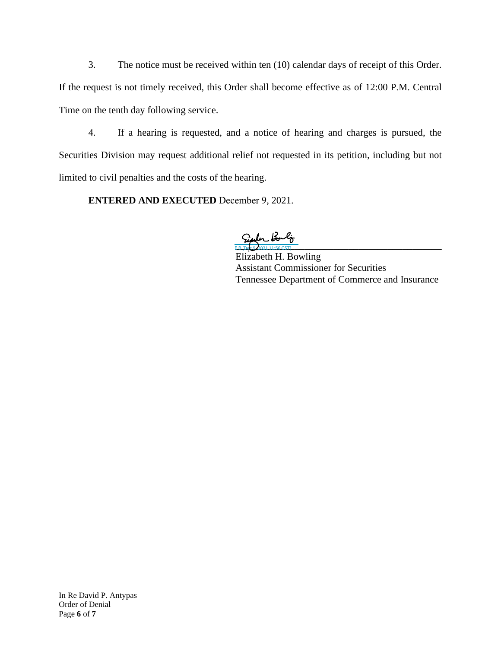3. The notice must be received within ten (10) calendar days of receipt of this Order. If the request is not timely received, this Order shall become effective as of 12:00 P.M. Central Time on the tenth day following service.

4. If a hearing is requested, and a notice of hearing and charges is pursued, the Securities Division may request additional relief not requested in its petition, including but not limited to civil penalties and the costs of the hearing.

**ENTERED AND EXECUTED** December 9, 2021.

 $F = P_1 + P_2 + P_3 + P_4$ 

Elizabeth H. Bowling Assistant Commissioner for Securities Tennessee Department of Commerce and Insurance